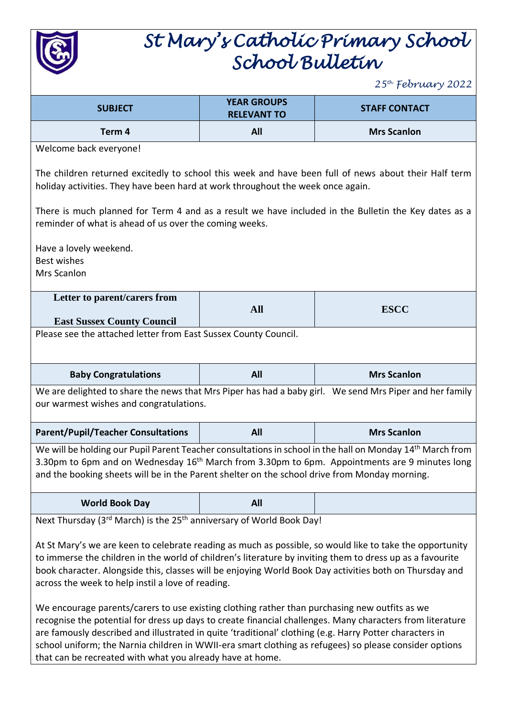

## *St Mary's Catholic Primary School School Bulletin*

*25th February 2022*

|                                                                                                                                                                                                                                                                                                                                                                                                                                                                                              |                                          | $2J$ reviewing $2022$ |  |  |
|----------------------------------------------------------------------------------------------------------------------------------------------------------------------------------------------------------------------------------------------------------------------------------------------------------------------------------------------------------------------------------------------------------------------------------------------------------------------------------------------|------------------------------------------|-----------------------|--|--|
| <b>SUBJECT</b>                                                                                                                                                                                                                                                                                                                                                                                                                                                                               | <b>YEAR GROUPS</b><br><b>RELEVANT TO</b> | <b>STAFF CONTACT</b>  |  |  |
| Term 4                                                                                                                                                                                                                                                                                                                                                                                                                                                                                       | All                                      | <b>Mrs Scanlon</b>    |  |  |
| Welcome back everyone!                                                                                                                                                                                                                                                                                                                                                                                                                                                                       |                                          |                       |  |  |
| The children returned excitedly to school this week and have been full of news about their Half term<br>holiday activities. They have been hard at work throughout the week once again.                                                                                                                                                                                                                                                                                                      |                                          |                       |  |  |
| There is much planned for Term 4 and as a result we have included in the Bulletin the Key dates as a<br>reminder of what is ahead of us over the coming weeks.                                                                                                                                                                                                                                                                                                                               |                                          |                       |  |  |
| Have a lovely weekend.                                                                                                                                                                                                                                                                                                                                                                                                                                                                       |                                          |                       |  |  |
| <b>Best wishes</b>                                                                                                                                                                                                                                                                                                                                                                                                                                                                           |                                          |                       |  |  |
| Mrs Scanlon                                                                                                                                                                                                                                                                                                                                                                                                                                                                                  |                                          |                       |  |  |
| Letter to parent/carers from                                                                                                                                                                                                                                                                                                                                                                                                                                                                 |                                          |                       |  |  |
| <b>East Sussex County Council</b>                                                                                                                                                                                                                                                                                                                                                                                                                                                            | <b>All</b>                               | <b>ESCC</b>           |  |  |
| Please see the attached letter from East Sussex County Council.                                                                                                                                                                                                                                                                                                                                                                                                                              |                                          |                       |  |  |
|                                                                                                                                                                                                                                                                                                                                                                                                                                                                                              |                                          |                       |  |  |
| <b>Baby Congratulations</b>                                                                                                                                                                                                                                                                                                                                                                                                                                                                  | All                                      | <b>Mrs Scanlon</b>    |  |  |
| We are delighted to share the news that Mrs Piper has had a baby girl. We send Mrs Piper and her family<br>our warmest wishes and congratulations.                                                                                                                                                                                                                                                                                                                                           |                                          |                       |  |  |
| <b>Parent/Pupil/Teacher Consultations</b>                                                                                                                                                                                                                                                                                                                                                                                                                                                    | All                                      | <b>Mrs Scanlon</b>    |  |  |
| We will be holding our Pupil Parent Teacher consultations in school in the hall on Monday 14 <sup>th</sup> March from<br>3.30pm to 6pm and on Wednesday 16 <sup>th</sup> March from 3.30pm to 6pm. Appointments are 9 minutes long<br>and the booking sheets will be in the Parent shelter on the school drive from Monday morning.                                                                                                                                                          |                                          |                       |  |  |
| <b>World Book Day</b>                                                                                                                                                                                                                                                                                                                                                                                                                                                                        | All                                      |                       |  |  |
| Next Thursday (3rd March) is the 25 <sup>th</sup> anniversary of World Book Day!                                                                                                                                                                                                                                                                                                                                                                                                             |                                          |                       |  |  |
| At St Mary's we are keen to celebrate reading as much as possible, so would like to take the opportunity<br>to immerse the children in the world of children's literature by inviting them to dress up as a favourite<br>book character. Alongside this, classes will be enjoying World Book Day activities both on Thursday and<br>across the week to help instil a love of reading.                                                                                                        |                                          |                       |  |  |
| We encourage parents/carers to use existing clothing rather than purchasing new outfits as we<br>recognise the potential for dress up days to create financial challenges. Many characters from literature<br>are famously described and illustrated in quite 'traditional' clothing (e.g. Harry Potter characters in<br>school uniform; the Narnia children in WWII-era smart clothing as refugees) so please consider options<br>that can be recreated with what you already have at home. |                                          |                       |  |  |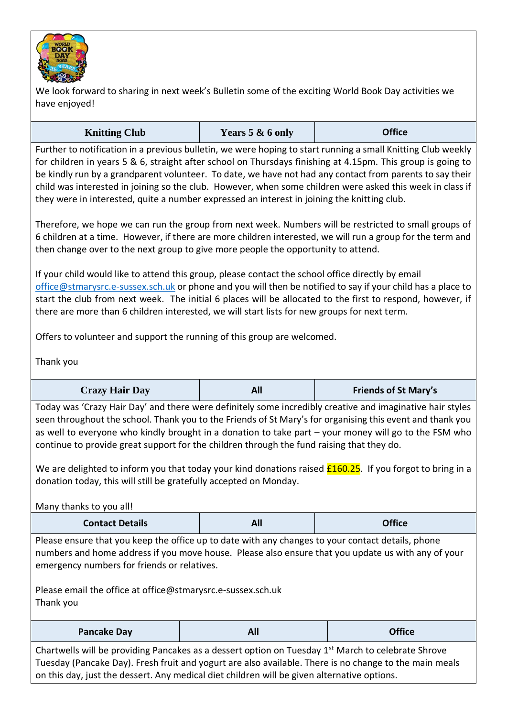

We look forward to sharing in next week's Bulletin some of the exciting World Book Day activities we have enjoyed!

| <b>Knitting Club</b> | Years 5 & 6 only | <b>Office</b> |
|----------------------|------------------|---------------|
|----------------------|------------------|---------------|

Further to notification in a previous bulletin, we were hoping to start running a small Knitting Club weekly for children in years 5 & 6, straight after school on Thursdays finishing at 4.15pm. This group is going to be kindly run by a grandparent volunteer. To date, we have not had any contact from parents to say their child was interested in joining so the club. However, when some children were asked this week in class if they were in interested, quite a number expressed an interest in joining the knitting club.

Therefore, we hope we can run the group from next week. Numbers will be restricted to small groups of 6 children at a time. However, if there are more children interested, we will run a group for the term and then change over to the next group to give more people the opportunity to attend.

If your child would like to attend this group, please contact the school office directly by email [office@stmarysrc.e-sussex.sch.uk](mailto:office@stmarysrc.e-sussex.sch.uk) or phone and you will then be notified to say if your child has a place to start the club from next week. The initial 6 places will be allocated to the first to respond, however, if there are more than 6 children interested, we will start lists for new groups for next term.

Offers to volunteer and support the running of this group are welcomed.

Thank you

Today was 'Crazy Hair Day' and there were definitely some incredibly creative and imaginative hair styles seen throughout the school. Thank you to the Friends of St Mary's for organising this event and thank you as well to everyone who kindly brought in a donation to take part – your money will go to the FSM who continue to provide great support for the children through the fund raising that they do.

We are delighted to inform you that today your kind donations raised  $£160.25$ . If you forgot to bring in a donation today, this will still be gratefully accepted on Monday.

Many thanks to you all!

| <b>Contact Details</b> | AII | <b>Office</b> |
|------------------------|-----|---------------|
|                        |     |               |

Please ensure that you keep the office up to date with any changes to your contact details, phone numbers and home address if you move house. Please also ensure that you update us with any of your emergency numbers for friends or relatives.

Please email the office at office@stmarysrc.e-sussex.sch.uk Thank you

| <b>Pancake Day</b> | $\sim$ | $\bigcap$ $\mathbb{C}$ :<br>U∏ICE |
|--------------------|--------|-----------------------------------|
|                    |        |                                   |

Chartwells will be providing Pancakes as a dessert option on Tuesday 1<sup>st</sup> March to celebrate Shrove Tuesday (Pancake Day). Fresh fruit and yogurt are also available. There is no change to the main meals on this day, just the dessert. Any medical diet children will be given alternative options.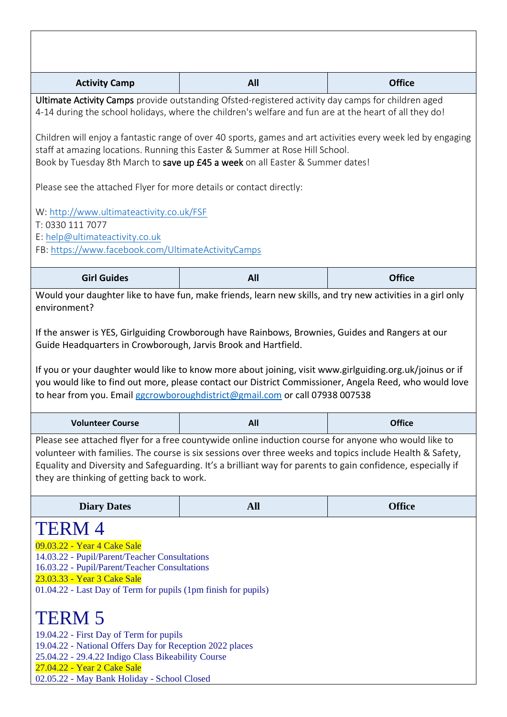| <b>Activity Camp</b>                                                                                                                                                                                                                                                                                                                                                                                                                                                                                                                                                                                    |                                                                                                                                                                                                                                                                                                                                 |               |  |  |
|---------------------------------------------------------------------------------------------------------------------------------------------------------------------------------------------------------------------------------------------------------------------------------------------------------------------------------------------------------------------------------------------------------------------------------------------------------------------------------------------------------------------------------------------------------------------------------------------------------|---------------------------------------------------------------------------------------------------------------------------------------------------------------------------------------------------------------------------------------------------------------------------------------------------------------------------------|---------------|--|--|
|                                                                                                                                                                                                                                                                                                                                                                                                                                                                                                                                                                                                         | All                                                                                                                                                                                                                                                                                                                             | <b>Office</b> |  |  |
| Ultimate Activity Camps provide outstanding Ofsted-registered activity day camps for children aged<br>4-14 during the school holidays, where the children's welfare and fun are at the heart of all they do!                                                                                                                                                                                                                                                                                                                                                                                            |                                                                                                                                                                                                                                                                                                                                 |               |  |  |
| Children will enjoy a fantastic range of over 40 sports, games and art activities every week led by engaging<br>staff at amazing locations. Running this Easter & Summer at Rose Hill School.<br>Book by Tuesday 8th March to save up £45 a week on all Easter & Summer dates!                                                                                                                                                                                                                                                                                                                          |                                                                                                                                                                                                                                                                                                                                 |               |  |  |
| Please see the attached Flyer for more details or contact directly:                                                                                                                                                                                                                                                                                                                                                                                                                                                                                                                                     |                                                                                                                                                                                                                                                                                                                                 |               |  |  |
| W: http://www.ultimateactivity.co.uk/FSF<br>T: 0330 111 7077<br>E: help@ultimateactivity.co.uk<br>FB: https://www.facebook.com/UltimateActivityCamps                                                                                                                                                                                                                                                                                                                                                                                                                                                    |                                                                                                                                                                                                                                                                                                                                 |               |  |  |
| <b>Girl Guides</b>                                                                                                                                                                                                                                                                                                                                                                                                                                                                                                                                                                                      | All                                                                                                                                                                                                                                                                                                                             | <b>Office</b> |  |  |
| Would your daughter like to have fun, make friends, learn new skills, and try new activities in a girl only<br>environment?<br>If the answer is YES, Girlguiding Crowborough have Rainbows, Brownies, Guides and Rangers at our<br>Guide Headquarters in Crowborough, Jarvis Brook and Hartfield.<br>If you or your daughter would like to know more about joining, visit www.girlguiding.org.uk/joinus or if<br>you would like to find out more, please contact our District Commissioner, Angela Reed, who would love<br>to hear from you. Email ggcrowboroughdistrict@gmail.com or call 07938 007538 |                                                                                                                                                                                                                                                                                                                                 |               |  |  |
|                                                                                                                                                                                                                                                                                                                                                                                                                                                                                                                                                                                                         |                                                                                                                                                                                                                                                                                                                                 |               |  |  |
| <b>Volunteer Course</b>                                                                                                                                                                                                                                                                                                                                                                                                                                                                                                                                                                                 | All                                                                                                                                                                                                                                                                                                                             | <b>Office</b> |  |  |
| they are thinking of getting back to work.                                                                                                                                                                                                                                                                                                                                                                                                                                                                                                                                                              | Please see attached flyer for a free countywide online induction course for anyone who would like to<br>volunteer with families. The course is six sessions over three weeks and topics include Health & Safety,<br>Equality and Diversity and Safeguarding. It's a brilliant way for parents to gain confidence, especially if |               |  |  |
| <b>Diary Dates</b>                                                                                                                                                                                                                                                                                                                                                                                                                                                                                                                                                                                      | <b>All</b>                                                                                                                                                                                                                                                                                                                      | <b>Office</b> |  |  |